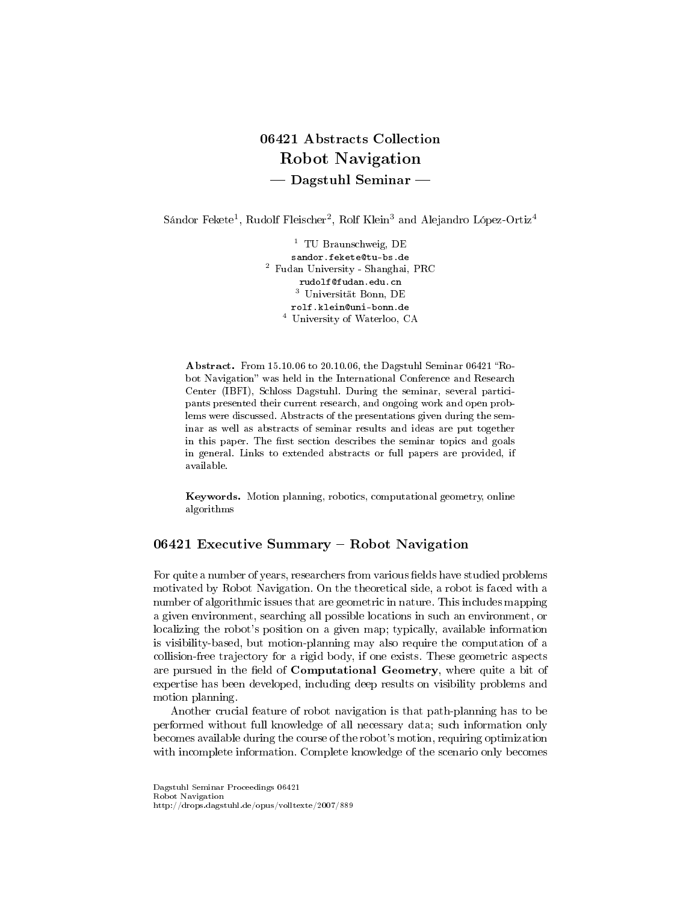# 06421 Abstracts Collection Robot Navigation - Dagstuhl Seminar

Sándor Fekete $^1$ , Rudolf Fleischer $^2$ , Rolf Klein $^3$  and Alejandro López-Ortiz $^4$ 

<sup>1</sup> TU Braunschweig, DE sandor.fekete@tu-bs.de <sup>2</sup> Fudan University - Shanghai, PRC rudolf@fudan.edu.cn <sup>3</sup> Universität Bonn, DE rolf.klein@uni-bonn.de <sup>4</sup> University of Waterloo, CA

Abstract. From 15.10.06 to 20.10.06, the Dagstuhl Seminar 06421 "Robot Navigation" was held in the International Conference and Research Center (IBFI), Schloss Dagstuhl. During the seminar, several participants presented their current research, and ongoing work and open problems were discussed. Abstracts of the presentations given during the seminar as well as abstracts of seminar results and ideas are put together in this paper. The first section describes the seminar topics and goals in general. Links to extended abstracts or full papers are provided, if available.

Keywords. Motion planning, robotics, computational geometry, online algorithms

# 06421 Executive Summary - Robot Navigation

For quite a number of years, researchers from various fields have studied problems motivated by Robot Navigation. On the theoretical side, a robot is faced with a number of algorithmic issues that are geometric in nature. This includes mapping a given environment, searching all possible locations in such an environment, or localizing the robot's position on a given map; typically, available information is visibility-based, but motion-planning may also require the computation of a collision-free trajectory for a rigid body, if one exists. These geometric aspects are pursued in the field of Computational Geometry, where quite a bit of expertise has been developed, including deep results on visibility problems and motion planning.

Another crucial feature of robot navigation is that path-planning has to be performed without full knowledge of all necessary data; such information only becomes available during the course of the robot's motion, requiring optimization with incomplete information. Complete knowledge of the scenario only becomes

Dagstuhl Seminar Proceedings 06421 Robot Navigation http://drops.dagstuhl.de/opus/volltexte/2007/889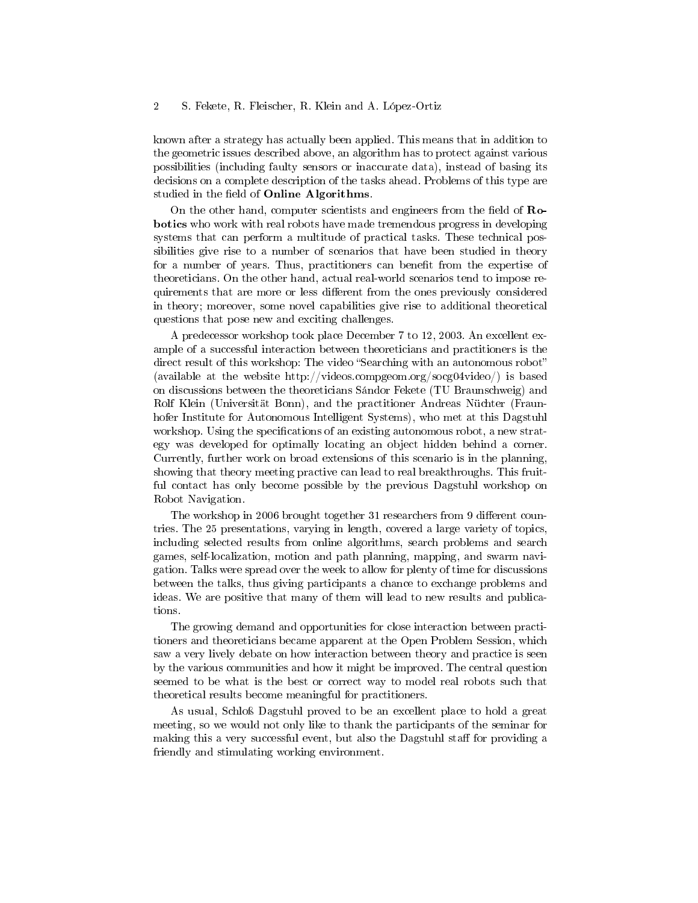known after a strategy has actually been applied. This means that in addition to the geometric issues described above, an algorithm has to protect against various possibilities (including faulty sensors or inaccurate data), instead of basing its decisions on a complete description of the tasks ahead. Problems of this type are studied in the field of Online Algorithms.

On the other hand, computer scientists and engineers from the field of  $\mathbf{Ro}$ botics who work with real robots have made tremendous progress in developing systems that can perform a multitude of practical tasks. These technical possibilities give rise to a number of scenarios that have been studied in theory for a number of years. Thus, practitioners can benefit from the expertise of theoreticians. On the other hand, actual real-world scenarios tend to impose requirements that are more or less different from the ones previously considered in theory; moreover, some novel capabilities give rise to additional theoretical questions that pose new and exciting challenges.

A predecessor workshop took place December 7 to 12, 2003. An excellent example of a successful interaction between theoreticians and practitioners is the direct result of this workshop: The video "Searching with an autonomous robot" (available at the website http://videos.compgeom.org/socg04video/) is based on discussions between the theoreticians Sándor Fekete (TU Braunschweig) and Rolf Klein (Universität Bonn), and the practitioner Andreas Nüchter (Fraunhofer Institute for Autonomous Intelligent Systems), who met at this Dagstuhl workshop. Using the specifications of an existing autonomous robot, a new strategy was developed for optimally locating an object hidden behind a corner. Currently, further work on broad extensions of this scenario is in the planning, showing that theory meeting practive can lead to real breakthroughs. This fruitful contact has only become possible by the previous Dagstuhl workshop on Robot Navigation.

The workshop in 2006 brought together 31 researchers from 9 different countries. The 25 presentations, varying in length, covered a large variety of topics, including selected results from online algorithms, search problems and search games, self-localization, motion and path planning, mapping, and swarm navigation. Talks were spread over the week to allow for plenty of time for discussions between the talks, thus giving participants a chance to exchange problems and ideas. We are positive that many of them will lead to new results and publications.

The growing demand and opportunities for close interaction between practitioners and theoreticians became apparent at the Open Problem Session, which saw a very lively debate on how interaction between theory and practice is seen by the various communities and how it might be improved. The central question seemed to be what is the best or correct way to model real robots such that theoretical results become meaningful for practitioners.

As usual, Schloß Dagstuhl proved to be an excellent place to hold a great meeting, so we would not only like to thank the participants of the seminar for making this a very successful event, but also the Dagstuhl staff for providing a friendly and stimulating working environment.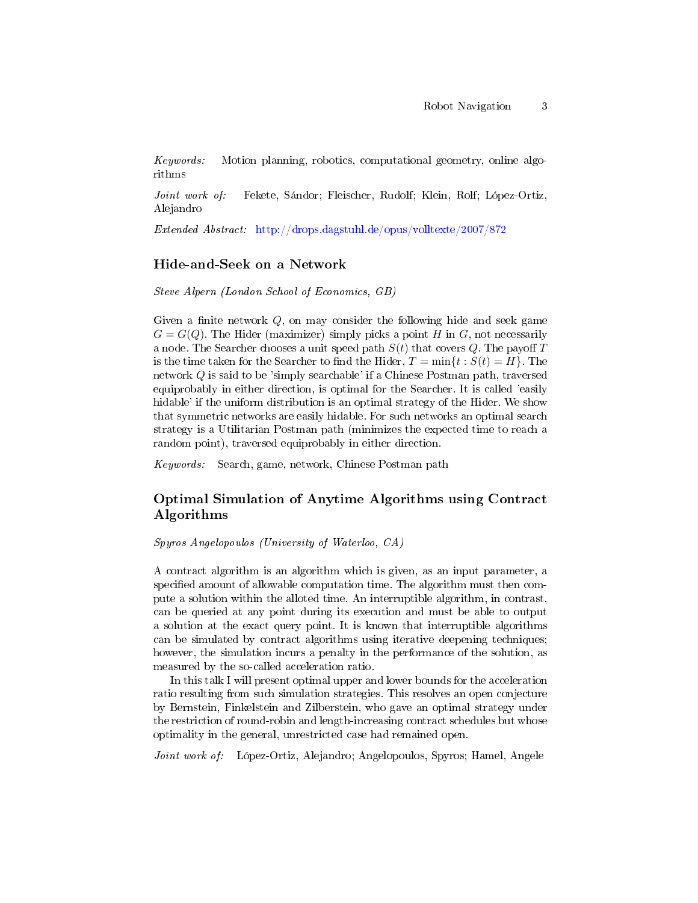Keywords: Motion planning, robotics, computational geometry, online algorithms

Joint work of: Fekete, Sándor; Fleischer, Rudolf; Klein, Rolf; López-Ortiz, Alejandro

Extended Abstract: <http://drops.dagstuhl.de/opus/volltexte/2007/872>

## Hide-and-Seek on a Network

Steve Alpern (London School of Economics, GB)

Given a finite network  $Q$ , on may consider the following hide and seek game  $G = G(Q)$ . The Hider (maximizer) simply picks a point H in G, not necessarily a node. The Searcher chooses a unit speed path  $S(t)$  that covers Q. The payoff T is the time taken for the Searcher to find the Hider,  $T = \min\{t : S(t) = H\}$ . The network Q is said to be 'simply searchable' if a Chinese Postman path, traversed equiprobably in either direction, is optimal for the Searcher. It is called 'easily hidable' if the uniform distribution is an optimal strategy of the Hider. We show that symmetric networks are easily hidable. For such networks an optimal search strategy is a Utilitarian Postman path (minimizes the expected time to reach a random point), traversed equiprobably in either direction.

Keywords: Search, game, network, Chinese Postman path

# Optimal Simulation of Anytime Algorithms using Contract Algorithms

Spyros Angelopoulos (University of Waterloo, CA)

A contract algorithm is an algorithm which is given, as an input parameter, a specified amount of allowable computation time. The algorithm must then compute a solution within the alloted time. An interruptible algorithm, in contrast, can be queried at any point during its execution and must be able to output a solution at the exact query point. It is known that interruptible algorithms can be simulated by contract algorithms using iterative deepening techniques; however, the simulation incurs a penalty in the performance of the solution, as measured by the so-called acceleration ratio.

In this talk I will present optimal upper and lower bounds for the acceleration ratio resulting from such simulation strategies. This resolves an open conjecture by Bernstein, Finkelstein and Zilberstein, who gave an optimal strategy under the restriction of round-robin and length-increasing contract schedules but whose optimality in the general, unrestricted case had remained open.

Joint work of: López-Ortiz, Alejandro; Angelopoulos, Spyros; Hamel, Angele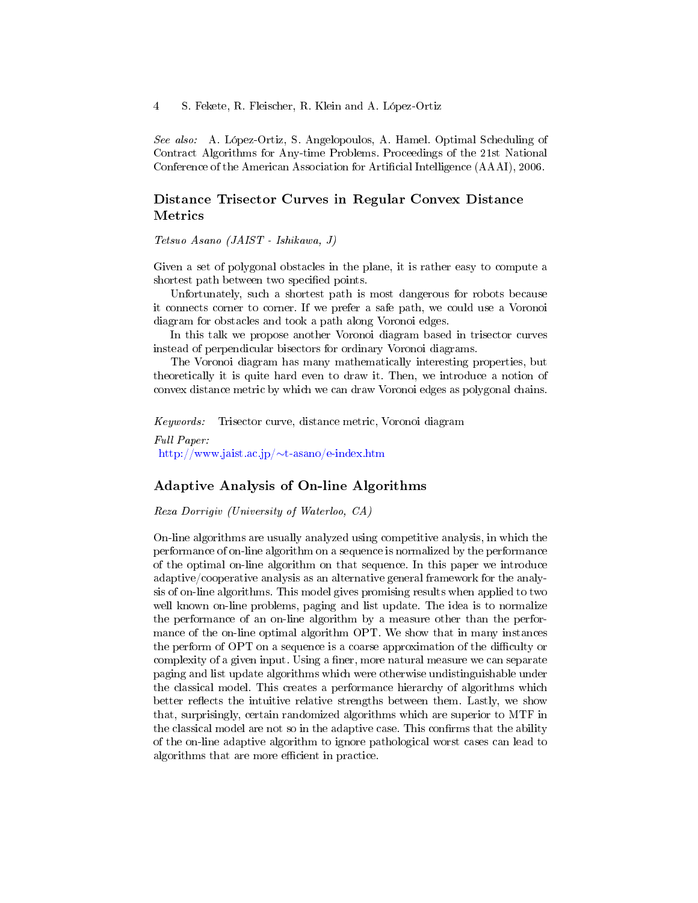See also: A. López-Ortiz, S. Angelopoulos, A. Hamel. Optimal Scheduling of Contract Algorithms for Any-time Problems. Proceedings of the 21st National Conference of the American Association for Artificial Intelligence (AAAI), 2006.

# Distance Trisector Curves in Regular Convex Distance Metrics

Tetsuo Asano (JAIST - Ishikawa, J)

Given a set of polygonal obstacles in the plane, it is rather easy to compute a shortest path between two specified points.

Unfortunately, such a shortest path is most dangerous for robots because it connects corner to corner. If we prefer a safe path, we could use a Voronoi diagram for obstacles and took a path along Voronoi edges.

In this talk we propose another Voronoi diagram based in trisector curves instead of perpendicular bisectors for ordinary Voronoi diagrams.

The Voronoi diagram has many mathematically interesting properties, but theoretically it is quite hard even to draw it. Then, we introduce a notion of convex distance metric by which we can draw Voronoi edges as polygonal chains.

Keywords: Trisector curve, distance metric, Voronoi diagram

Full Paper: [http://www.jaist.ac.jp/](http://www.jaist.ac.jp/~t-asano/e-index.htm)∼t-asano/e-index.htm

## Adaptive Analysis of On-line Algorithms

Reza Dorrigiv (University of Waterloo, CA)

On-line algorithms are usually analyzed using competitive analysis, in which the performance of on-line algorithm on a sequence is normalized by the performance of the optimal on-line algorithm on that sequence. In this paper we introduce adaptive/cooperative analysis as an alternative general framework for the analysis of on-line algorithms. This model gives promising results when applied to two well known on-line problems, paging and list update. The idea is to normalize the performance of an on-line algorithm by a measure other than the performance of the on-line optimal algorithm OPT. We show that in many instances the perform of OPT on a sequence is a coarse approximation of the difficulty or complexity of a given input. Using a finer, more natural measure we can separate paging and list update algorithms which were otherwise undistinguishable under the classical model. This creates a performance hierarchy of algorithms which better reflects the intuitive relative strengths between them. Lastly, we show that, surprisingly, certain randomized algorithms which are superior to MTF in the classical model are not so in the adaptive case. This confirms that the ability of the on-line adaptive algorithm to ignore pathological worst cases can lead to algorithms that are more efficient in practice.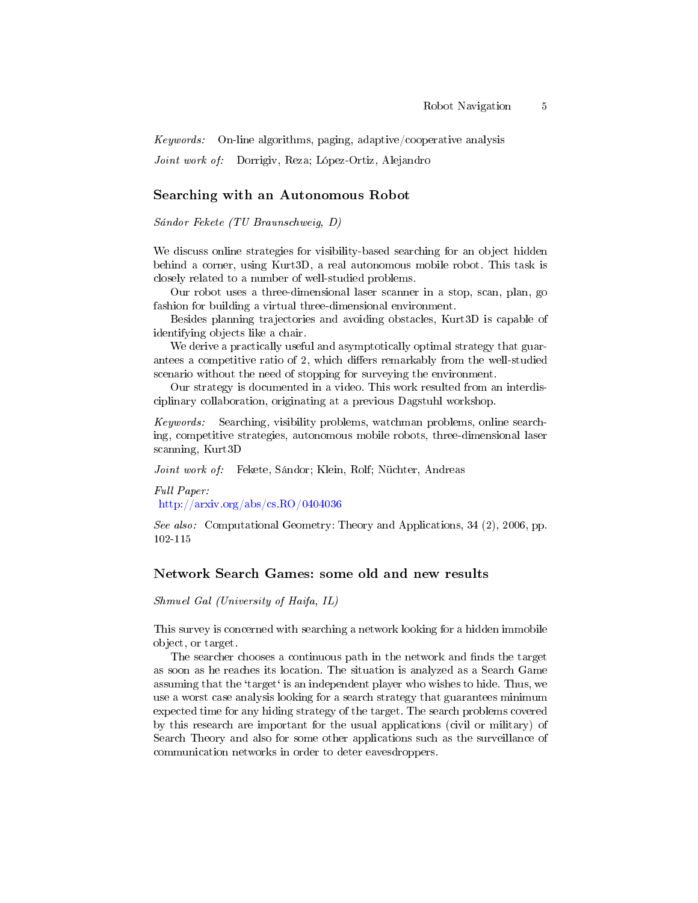Keywords: On-line algorithms, paging, adaptive/cooperative analysis

Joint work of: Dorrigiv, Reza; López-Ortiz, Alejandro

## Searching with an Autonomous Robot

Sándor Fekete (TU Braunschweig, D)

We discuss online strategies for visibility-based searching for an object hidden behind a corner, using Kurt3D, a real autonomous mobile robot. This task is closely related to a number of well-studied problems.

Our robot uses a three-dimensional laser scanner in a stop, scan, plan, go fashion for building a virtual three-dimensional environment.

Besides planning trajectories and avoiding obstacles, Kurt3D is capable of identifying objects like a chair.

We derive a practically useful and asymptotically optimal strategy that guarantees a competitive ratio of 2, which differs remarkably from the well-studied scenario without the need of stopping for surveying the environment.

Our strategy is documented in a video. This work resulted from an interdisciplinary collaboration, originating at a previous Dagstuhl workshop.

Keywords: Searching, visibility problems, watchman problems, online searching, competitive strategies, autonomous mobile robots, three-dimensional laser scanning, Kurt3D

Joint work of: Fekete, Sándor; Klein, Rolf; Nüchter, Andreas

Full Paper: <http://arxiv.org/abs/cs.RO/0404036>

See also: Computational Geometry: Theory and Applications, 34 (2), 2006, pp. 102-115

#### Network Search Games: some old and new results

Shmuel Gal (University of Haifa, IL)

This survey is concerned with searching a network looking for a hidden immobile object, or target.

The searcher chooses a continuous path in the network and finds the target as soon as he reaches its location. The situation is analyzed as a Search Game assuming that the 'target' is an independent player who wishes to hide. Thus, we use a worst case analysis looking for a search strategy that guarantees minimum expected time for any hiding strategy of the target. The search problems covered by this research are important for the usual applications (civil or military) of Search Theory and also for some other applications such as the surveillance of communication networks in order to deter eavesdroppers.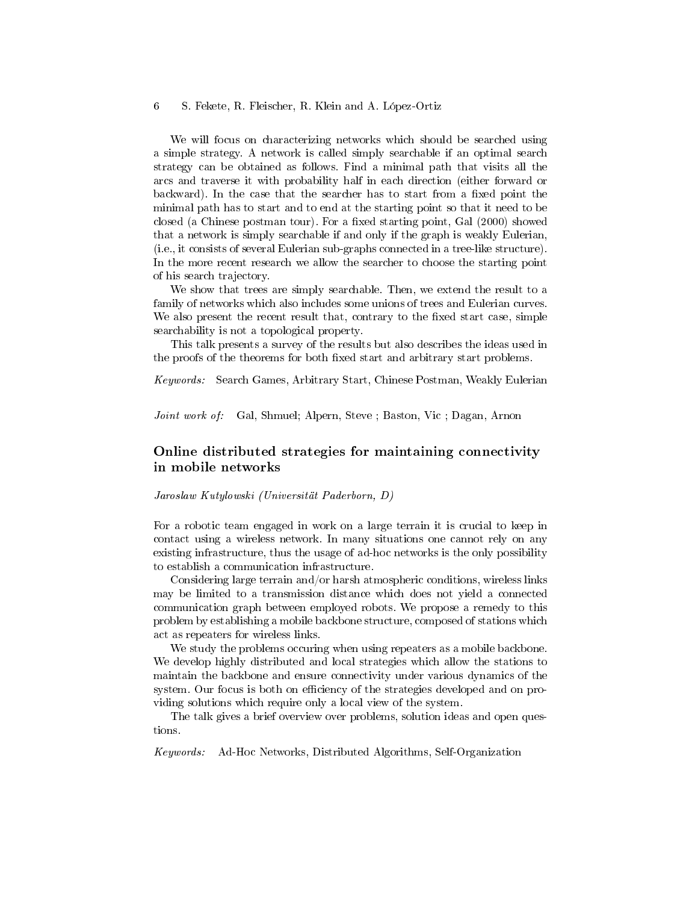We will focus on characterizing networks which should be searched using a simple strategy. A network is called simply searchable if an optimal search strategy can be obtained as follows. Find a minimal path that visits all the arcs and traverse it with probability half in each direction (either forward or backward). In the case that the searcher has to start from a fixed point the minimal path has to start and to end at the starting point so that it need to be closed (a Chinese postman tour). For a fixed starting point, Gal (2000) showed that a network is simply searchable if and only if the graph is weakly Eulerian, (i.e., it consists of several Eulerian sub-graphs connected in a tree-like structure). In the more recent research we allow the searcher to choose the starting point of his search trajectory.

We show that trees are simply searchable. Then, we extend the result to a family of networks which also includes some unions of trees and Eulerian curves. We also present the recent result that, contrary to the fixed start case, simple searchability is not a topological property.

This talk presents a survey of the results but also describes the ideas used in the proofs of the theorems for both fixed start and arbitrary start problems.

Keywords: Search Games, Arbitrary Start, Chinese Postman, Weakly Eulerian

Joint work of: Gal, Shmuel; Alpern, Steve; Baston, Vic; Dagan, Arnon

# Online distributed strategies for maintaining connectivity in mobile networks

#### Jaroslaw Kutylowski (Universität Paderborn, D)

For a robotic team engaged in work on a large terrain it is crucial to keep in contact using a wireless network. In many situations one cannot rely on any existing infrastructure, thus the usage of ad-hoc networks is the only possibility to establish a communication infrastructure.

Considering large terrain and/or harsh atmospheric conditions, wireless links may be limited to a transmission distance which does not yield a connected communication graph between employed robots. We propose a remedy to this problem by establishing a mobile backbone structure, composed of stations which act as repeaters for wireless links.

We study the problems occuring when using repeaters as a mobile backbone. We develop highly distributed and local strategies which allow the stations to maintain the backbone and ensure connectivity under various dynamics of the system. Our focus is both on efficiency of the strategies developed and on providing solutions which require only a local view of the system.

The talk gives a brief overview over problems, solution ideas and open questions.

Keywords: Ad-Hoc Networks, Distributed Algorithms, Self-Organization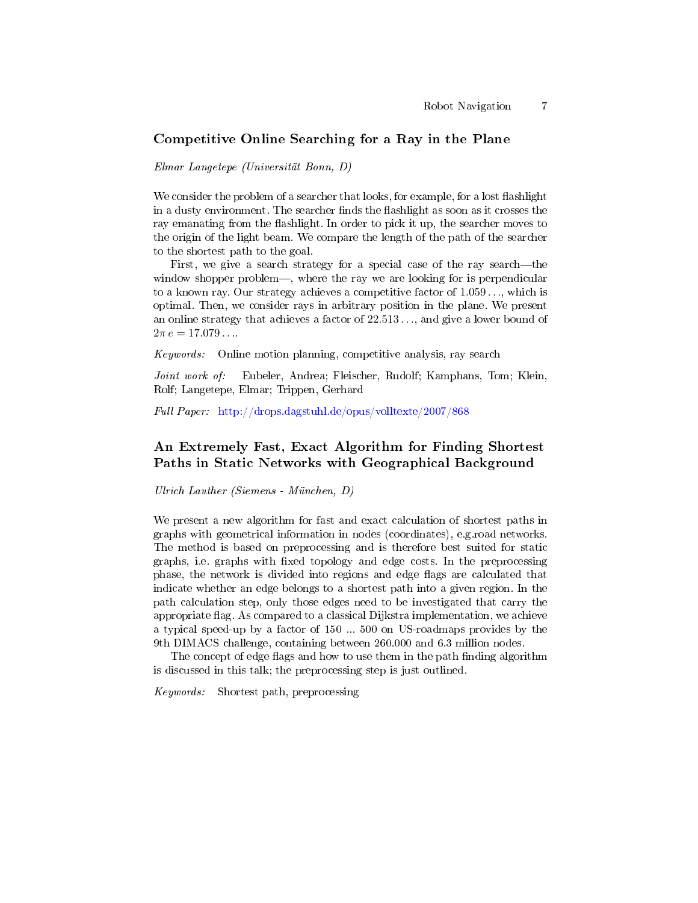#### Competitive Online Searching for a Ray in the Plane

Elmar Langetepe (Universität Bonn, D)

We consider the problem of a searcher that looks, for example, for a lost flashlight in a dusty environment. The searcher finds the flashlight as soon as it crosses the ray emanating from the flashlight. In order to pick it up, the searcher moves to the origin of the light beam. We compare the length of the path of the searcher to the shortest path to the goal.

First, we give a search strategy for a special case of the ray search—the window shopper problem—, where the ray we are looking for is perpendicular to a known ray. Our strategy achieves a competitive factor of 1.059 . . ., which is optimal. Then, we consider rays in arbitrary position in the plane. We present an online strategy that achieves a factor of 22.513 . . ., and give a lower bound of  $2\pi e = 17.079...$ 

Keywords: Online motion planning, competitive analysis, ray search

Joint work of: Eubeler, Andrea; Fleischer, Rudolf; Kamphans, Tom; Klein, Rolf; Langetepe, Elmar; Trippen, Gerhard

Full Paper: <http://drops.dagstuhl.de/opus/volltexte/2007/868>

# An Extremely Fast, Exact Algorithm for Finding Shortest Paths in Static Networks with Geographical Background

Ulrich Lauther (Siemens - München, D)

We present a new algorithm for fast and exact calculation of shortest paths in graphs with geometrical information in nodes (coordinates), e.g.road networks. The method is based on preprocessing and is therefore best suited for static graphs, i.e. graphs with fixed topology and edge costs. In the preprocessing phase, the network is divided into regions and edge flags are calculated that indicate whether an edge belongs to a shortest path into a given region. In the path calculation step, only those edges need to be investigated that carry the appropriate flag. As compared to a classical Dijkstra implementation, we achieve a typical speed-up by a factor of 150 ... 500 on US-roadmaps provides by the 9th DIMACS challenge, containing between 260.000 and 6.3 million nodes.

The concept of edge flags and how to use them in the path finding algorithm is discussed in this talk; the preprocessing step is just outlined.

Keywords: Shortest path, preprocessing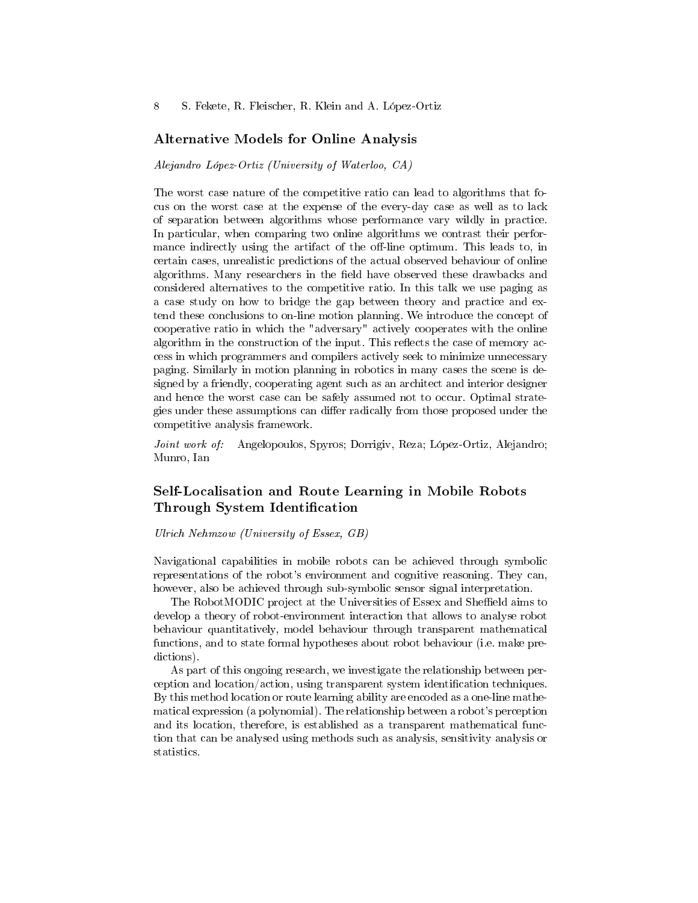## Alternative Models for Online Analysis

Alejandro López-Ortiz (University of Waterloo, CA)

The worst case nature of the competitive ratio can lead to algorithms that focus on the worst case at the expense of the every-day case as well as to lack of separation between algorithms whose performance vary wildly in practice. In particular, when comparing two online algorithms we contrast their performance indirectly using the artifact of the off-line optimum. This leads to, in certain cases, unrealistic predictions of the actual observed behaviour of online algorithms. Many researchers in the field have observed these drawbacks and considered alternatives to the competitive ratio. In this talk we use paging as a case study on how to bridge the gap between theory and practice and extend these conclusions to on-line motion planning. We introduce the concept of cooperative ratio in which the "adversary" actively cooperates with the online algorithm in the construction of the input. This reflects the case of memory access in which programmers and compilers actively seek to minimize unnecessary paging. Similarly in motion planning in robotics in many cases the scene is designed by a friendly, cooperating agent such as an architect and interior designer and hence the worst case can be safely assumed not to occur. Optimal strategies under these assumptions can differ radically from those proposed under the competitive analysis framework.

Joint work of: Angelopoulos, Spyros; Dorrigiv, Reza; López-Ortiz, Alejandro; Munro, Ian

# Self-Localisation and Route Learning in Mobile Robots Through System Identification

Ulrich Nehmzow (University of Essex, GB)

Navigational capabilities in mobile robots can be achieved through symbolic representations of the robot's environment and cognitive reasoning. They can, however, also be achieved through sub-symbolic sensor signal interpretation.

The RobotMODIC project at the Universities of Essex and Sheffield aims to develop a theory of robot-environment interaction that allows to analyse robot behaviour quantitatively, model behaviour through transparent mathematical functions, and to state formal hypotheses about robot behaviour (i.e. make predictions).

As part of this ongoing research, we investigate the relationship between perception and location/action, using transparent system identification techniques. By this method location or route learning ability are encoded as a one-line mathematical expression (a polynomial). The relationship between a robot's perception and its location, therefore, is established as a transparent mathematical function that can be analysed using methods such as analysis, sensitivity analysis or statistics.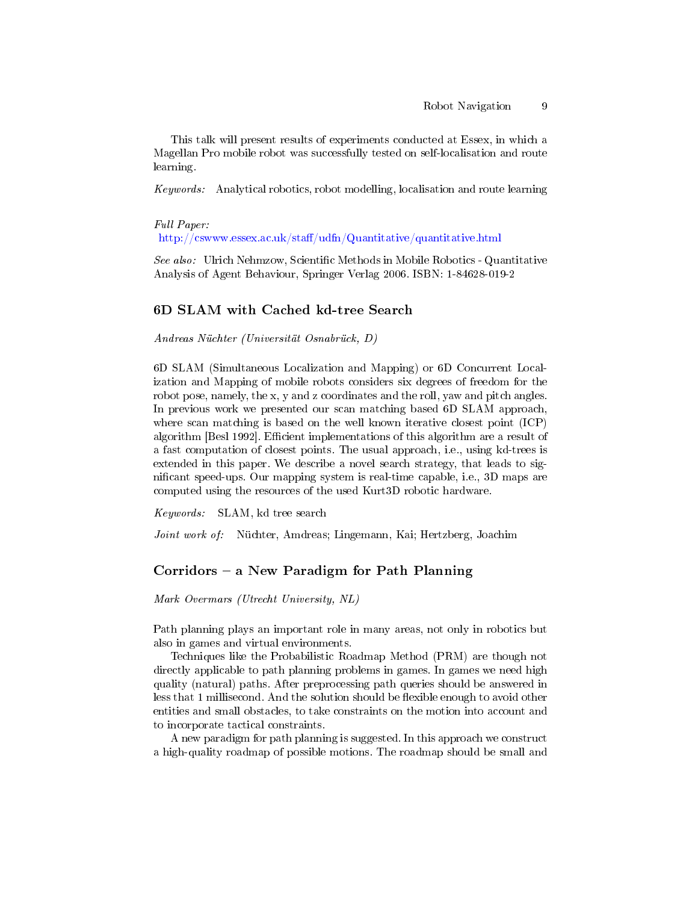This talk will present results of experiments conducted at Essex, in which a Magellan Pro mobile robot was successfully tested on self-localisation and route learning.

Keywords: Analytical robotics, robot modelling, localisation and route learning

Full Paper:

http://cswww.essex.ac.uk/staff/udfn/Quantitative/quantitative.html

See also: Ulrich Nehmzow, Scientific Methods in Mobile Robotics - Quantitative Analysis of Agent Behaviour, Springer Verlag 2006. ISBN: 1-84628-019-2

#### 6D SLAM with Cached kd-tree Search

Andreas Nüchter (Universität Osnabrück, D)

6D SLAM (Simultaneous Localization and Mapping) or 6D Concurrent Localization and Mapping of mobile robots considers six degrees of freedom for the robot pose, namely, the x, y and z coordinates and the roll, yaw and pitch angles. In previous work we presented our scan matching based 6D SLAM approach, where scan matching is based on the well known iterative closest point (ICP) algorithm [Besl 1992]. Efficient implementations of this algorithm are a result of a fast computation of closest points. The usual approach, i.e., using kd-trees is extended in this paper. We describe a novel search strategy, that leads to signicant speed-ups. Our mapping system is real-time capable, i.e., 3D maps are computed using the resources of the used Kurt3D robotic hardware.

Keywords: SLAM, kd tree search

Joint work of: Nüchter, Amdreas; Lingemann, Kai; Hertzberg, Joachim

# Corridors  $-$  a New Paradigm for Path Planning

Mark Overmars (Utrecht University, NL)

Path planning plays an important role in many areas, not only in robotics but also in games and virtual environments.

Techniques like the Probabilistic Roadmap Method (PRM) are though not directly applicable to path planning problems in games. In games we need high quality (natural) paths. After preprocessing path queries should be answered in less that 1 millisecond. And the solution should be flexible enough to avoid other entities and small obstacles, to take constraints on the motion into account and to incorporate tactical constraints.

A new paradigm for path planning is suggested. In this approach we construct a high-quality roadmap of possible motions. The roadmap should be small and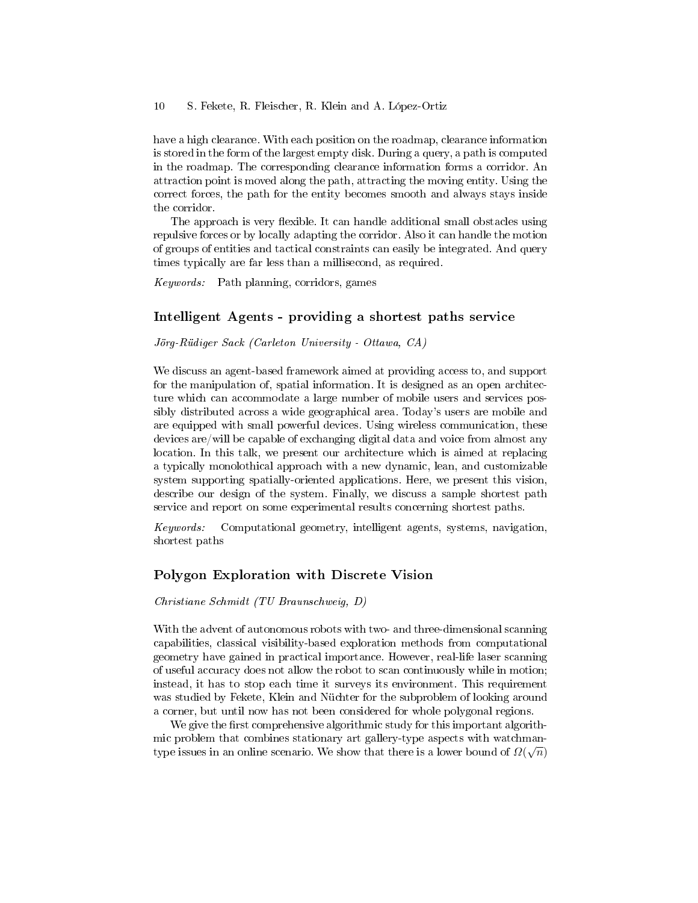have a high clearance. With each position on the roadmap, clearance information is stored in the form of the largest empty disk. During a query, a path is computed in the roadmap. The corresponding clearance information forms a corridor. An attraction point is moved along the path, attracting the moving entity. Using the correct forces, the path for the entity becomes smooth and always stays inside the corridor.

The approach is very flexible. It can handle additional small obstacles using repulsive forces or by locally adapting the corridor. Also it can handle the motion of groups of entities and tactical constraints can easily be integrated. And query times typically are far less than a millisecond, as required.

Keywords: Path planning, corridors, games

## Intelligent Agents - providing a shortest paths service

#### Jörg-Rüdiger Sack (Carleton University - Ottawa, CA)

We discuss an agent-based framework aimed at providing access to, and support for the manipulation of, spatial information. It is designed as an open architecture which can accommodate a large number of mobile users and services possibly distributed across a wide geographical area. Today's users are mobile and are equipped with small powerful devices. Using wireless communication, these devices are/will be capable of exchanging digital data and voice from almost any location. In this talk, we present our architecture which is aimed at replacing a typically monolothical approach with a new dynamic, lean, and customizable system supporting spatially-oriented applications. Here, we present this vision, describe our design of the system. Finally, we discuss a sample shortest path service and report on some experimental results concerning shortest paths.

Keywords: Computational geometry, intelligent agents, systems, navigation, shortest paths

## Polygon Exploration with Discrete Vision

#### Christiane Schmidt (TU Braunschweig, D)

With the advent of autonomous robots with two- and three-dimensional scanning capabilities, classical visibility-based exploration methods from computational geometry have gained in practical importance. However, real-life laser scanning of useful accuracy does not allow the robot to scan continuously while in motion; instead, it has to stop each time it surveys its environment. This requirement was studied by Fekete, Klein and Nüchter for the subproblem of looking around a corner, but until now has not been considered for whole polygonal regions.

We give the first comprehensive algorithmic study for this important algorithmic problem that combines stationary art gallery-type aspects with watchmantype issues in an online scenario. We show that there is a lower bound of  $\varOmega(\sqrt{n})$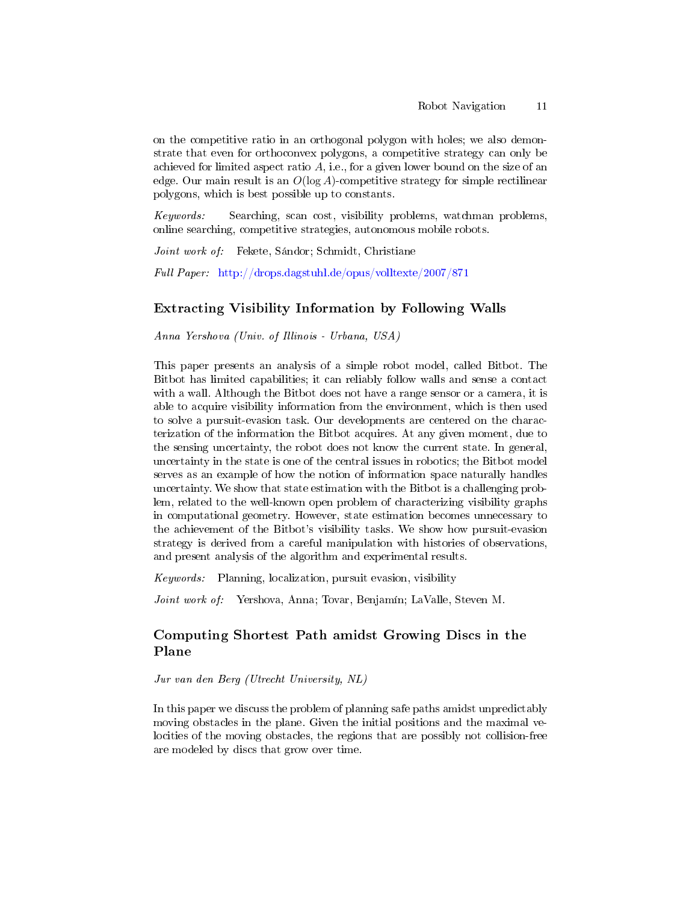on the competitive ratio in an orthogonal polygon with holes; we also demonstrate that even for orthoconvex polygons, a competitive strategy can only be achieved for limited aspect ratio  $A$ , i.e., for a given lower bound on the size of an edge. Our main result is an  $O(\log A)$ -competitive strategy for simple rectilinear polygons, which is best possible up to constants.

Keywords: Searching, scan cost, visibility problems, watchman problems, online searching, competitive strategies, autonomous mobile robots.

Joint work of: Fekete, Sándor; Schmidt, Christiane

Full Paper: <http://drops.dagstuhl.de/opus/volltexte/2007/871>

# Extracting Visibility Information by Following Walls

Anna Yershova (Univ. of Illinois - Urbana, USA)

This paper presents an analysis of a simple robot model, called Bitbot. The Bitbot has limited capabilities; it can reliably follow walls and sense a contact with a wall. Although the Bitbot does not have a range sensor or a camera, it is able to acquire visibility information from the environment, which is then used to solve a pursuit-evasion task. Our developments are centered on the characterization of the information the Bitbot acquires. At any given moment, due to the sensing uncertainty, the robot does not know the current state. In general, uncertainty in the state is one of the central issues in robotics; the Bitbot model serves as an example of how the notion of information space naturally handles uncertainty. We show that state estimation with the Bitbot is a challenging problem, related to the well-known open problem of characterizing visibility graphs in computational geometry. However, state estimation becomes unnecessary to the achievement of the Bitbot's visibility tasks. We show how pursuit-evasion strategy is derived from a careful manipulation with histories of observations, and present analysis of the algorithm and experimental results.

Keywords: Planning, localization, pursuit evasion, visibility

Joint work of: Yershova, Anna; Tovar, Benjamín; LaValle, Steven M.

# Computing Shortest Path amidst Growing Discs in the Plane

Jur van den Berg (Utrecht University, NL)

In this paper we discuss the problem of planning safe paths amidst unpredictably moving obstacles in the plane. Given the initial positions and the maximal velocities of the moving obstacles, the regions that are possibly not collision-free are modeled by discs that grow over time.